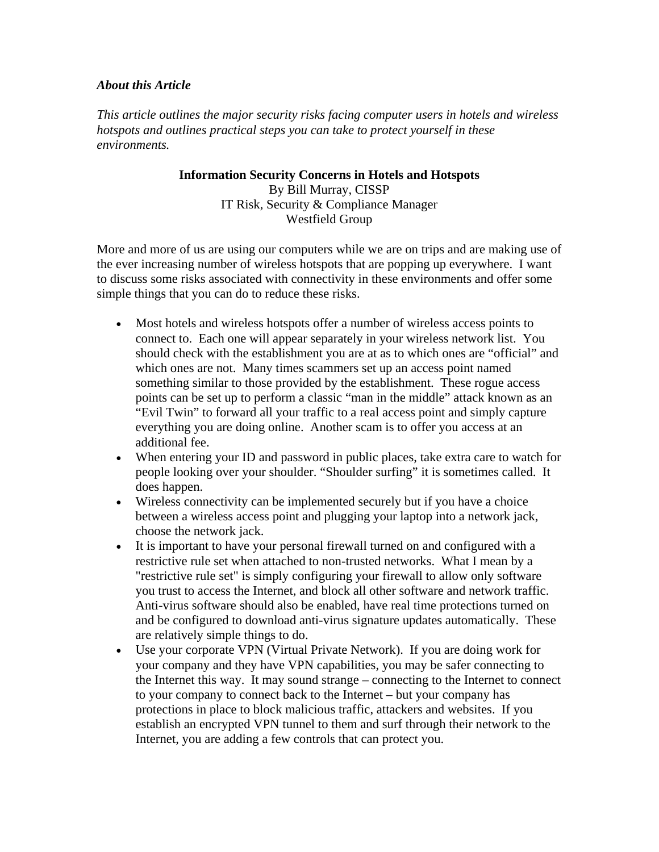## *About this Article*

*This article outlines the major security risks facing computer users in hotels and wireless hotspots and outlines practical steps you can take to protect yourself in these environments.* 

> **Information Security Concerns in Hotels and Hotspots**  By Bill Murray, CISSP IT Risk, Security & Compliance Manager Westfield Group

More and more of us are using our computers while we are on trips and are making use of the ever increasing number of wireless hotspots that are popping up everywhere. I want to discuss some risks associated with connectivity in these environments and offer some simple things that you can do to reduce these risks.

- Most hotels and wireless hotspots offer a number of wireless access points to connect to. Each one will appear separately in your wireless network list. You should check with the establishment you are at as to which ones are "official" and which ones are not. Many times scammers set up an access point named something similar to those provided by the establishment. These rogue access points can be set up to perform a classic "man in the middle" attack known as an "Evil Twin" to forward all your traffic to a real access point and simply capture everything you are doing online. Another scam is to offer you access at an additional fee.
- When entering your ID and password in public places, take extra care to watch for people looking over your shoulder. "Shoulder surfing" it is sometimes called. It does happen.
- Wireless connectivity can be implemented securely but if you have a choice between a wireless access point and plugging your laptop into a network jack, choose the network jack.
- It is important to have your personal firewall turned on and configured with a restrictive rule set when attached to non-trusted networks. What I mean by a "restrictive rule set" is simply configuring your firewall to allow only software you trust to access the Internet, and block all other software and network traffic. Anti-virus software should also be enabled, have real time protections turned on and be configured to download anti-virus signature updates automatically. These are relatively simple things to do.
- Use your corporate VPN (Virtual Private Network). If you are doing work for your company and they have VPN capabilities, you may be safer connecting to the Internet this way. It may sound strange – connecting to the Internet to connect to your company to connect back to the Internet – but your company has protections in place to block malicious traffic, attackers and websites. If you establish an encrypted VPN tunnel to them and surf through their network to the Internet, you are adding a few controls that can protect you.